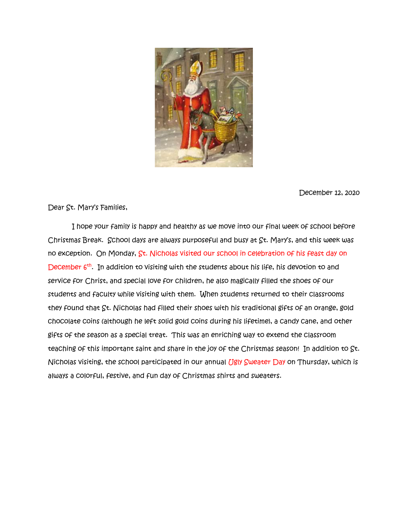

December 12, 2020

Dear St. Mary's Families,

 I hope your family is happy and healthy as we move into our final week of school before Christmas Break. School days are always purposeful and busy at St. Mary's, and this week was no exception. On Monday, St. Nicholas visited our school in celebration of his feast day on December 6<sup>th</sup>. In addition to visiting with the students about his life, his devotion to and service for Christ, and special love for children, he also magically filled the shoes of our students and faculty while visiting with them. When students returned to their classrooms they found that St. Nicholas had filled their shoes with his traditional gifts of an orange, gold chocolate coins (although he left solid gold coins during his lifetime), a candy cane, and other gifts of the season as a special treat. This was an enriching way to extend the classroom teaching of this important saint and share in the joy of the Christmas season! In addition to St. Nicholas visiting, the school participated in our annual *Ugly Sweater Day* on Thursday, which is always a colorful, festive, and fun day of Christmas shirts and sweaters.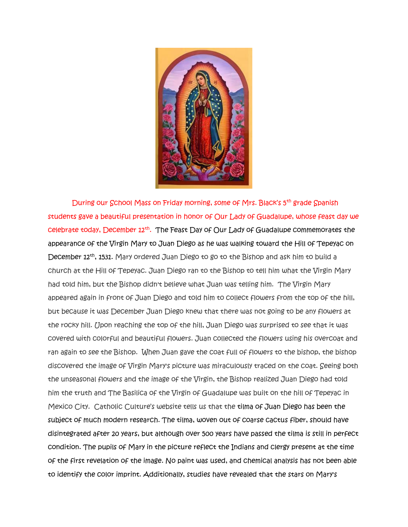

During our School Mass on Friday morning, some of Mrs. Black's 5<sup>th</sup> grade Spanish students gave a beautiful presentation in honor of Our Lady of Guadalupe, whose feast day we celebrate today, December 12<sup>th</sup>. The Feast Day of Our Lady of Guadalupe commemorates the appearance of the Virgin Mary to Juan Diego as he was walking toward the Hill of Tepeyac on December 12th, 1531. Mary ordered Juan Diego to go to the Bishop and ask him to build a church at the Hill of Tepeyac. Juan Diego ran to the Bishop to tell him what the Virgin Mary had told him, but the Bishop didn't believe what Juan was telling him. The Virgin Mary appeared again in front of Juan Diego and told him to collect flowers from the top of the hill, but because it was December Juan Diego knew that there was not going to be any flowers at the rocky hill. Upon reaching the top of the hill, Juan Diego was surprised to see that it was covered with colorful and beautiful flowers. Juan collected the flowers using his overcoat and ran again to see the Bishop. When Juan gave the coat full of flowers to the bishop, the bishop discovered the image of Virgin Mary's picture was miraculously traced on the coat. Seeing both the unseasonal flowers and the image of the Virgin, the Bishop realized Juan Diego had told him the truth and The Basilica of the Virgin of Guadalupe was built on the hill of Tepeyac in Mexico City. Catholic Culture's website tells us that the tilma of Juan Diego has been the subject of much modern research. The tilma, woven out of coarse cactus fiber, should have disintegrated after 20 years, but although over 500 years have passed the tilma is still in perfect condition. The pupils of Mary in the picture reflect the Indians and clergy present at the time of the first revelation of the image. No paint was used, and chemical analysis has not been able to identify the color imprint. Additionally, studies have revealed that the stars on Mary's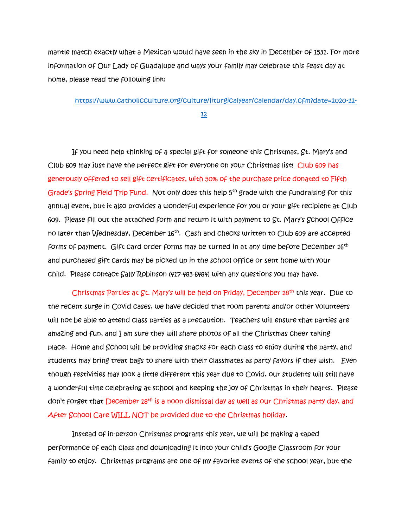mantle match exactly what a Mexican would have seen in the sky in December of 1531. For more information of Our Lady of Guadalupe and ways your family may celebrate this feast day at home, please read the following link:

## [https://www.catholicculture.org/culture/liturgicalyear/calendar/day.cfm?date=2020-12-](https://www.catholicculture.org/culture/liturgicalyear/calendar/day.cfm?date=2020-12-12)

[12](https://www.catholicculture.org/culture/liturgicalyear/calendar/day.cfm?date=2020-12-12)

 If you need help thinking of a special gift for someone this Christmas, St. Mary's and Club 609 may just have the perfect gift for everyone on your Christmas list! Club 609 has generously offered to sell gift certificates, with 50% of the purchase price donated to Fifth Grade's Spring Field Trip Fund. Not only does this help 5<sup>th</sup> grade with the fundraising for this annual event, but it also provides a wonderful experience for you or your gift recipient at Club 609. Please fill out the attached form and return it with payment to St. Mary's School Office no later than Wednesday, December 16th . Cash and checks written to Club 609 are accepted forms of payment. Gift card order forms may be turned in at any time before December 16<sup>th</sup> and purchased gift cards may be picked up in the school office or sent home with your child. Please contact Sally Robinson (417-483-6484) with any questions you may have.

Christmas Parties at St. Mary's will be held on Friday, December 18<sup>th</sup> this year. Due to the recent surge in Covid cases, we have decided that room parents and/or other volunteers will not be able to attend class parties as a precaution. Teachers will ensure that parties are amazing and fun, and I am sure they will share photos of all the Christmas cheer taking place. Home and School will be providing snacks for each class to enjoy during the party, and students may bring treat bags to share with their classmates as party favors if they wish. Even though festivities may look a little different this year due to Covid, our students will still have a wonderful time celebrating at school and keeping the joy of Christmas in their hearts. Please don't forget that December 18<sup>th</sup> is a noon dismissal day as well as our Christmas party day, and After School Care WILL NOT be provided due to the Christmas holiday.

 Instead of in-person Christmas programs this year, we will be making a taped performance of each class and downloading it into your child's Google Classroom for your family to enjoy. Christmas programs are one of my favorite events of the school year, but the